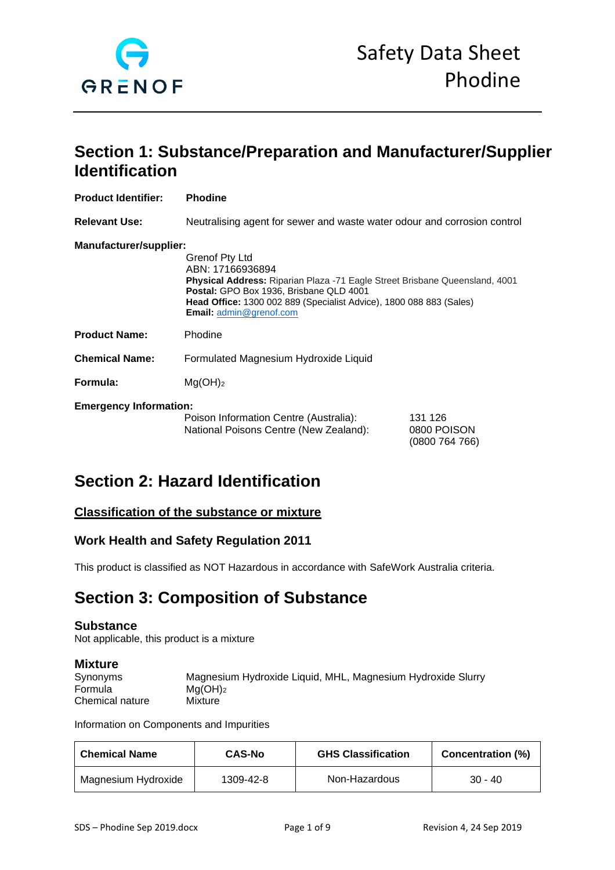

## **Section 1: Substance/Preparation and Manufacturer/Supplier Identification**

| <b>Product Identifier:</b>    | <b>Phodine</b>                                                                                                                                                                                                                                                                      |                                        |
|-------------------------------|-------------------------------------------------------------------------------------------------------------------------------------------------------------------------------------------------------------------------------------------------------------------------------------|----------------------------------------|
| <b>Relevant Use:</b>          | Neutralising agent for sewer and waste water odour and corrosion control                                                                                                                                                                                                            |                                        |
| Manufacturer/supplier:        | <b>Grenof Pty Ltd</b><br>ABN: 17166936894<br><b>Physical Address:</b> Riparian Plaza -71 Eagle Street Brisbane Queensland, 4001<br>Postal: GPO Box 1936, Brisbane QLD 4001<br><b>Head Office:</b> 1300 002 889 (Specialist Advice), 1800 088 883 (Sales)<br>Email: admin@grenof.com |                                        |
| <b>Product Name:</b>          | Phodine                                                                                                                                                                                                                                                                             |                                        |
| <b>Chemical Name:</b>         | Formulated Magnesium Hydroxide Liquid                                                                                                                                                                                                                                               |                                        |
| Formula:                      | Mg(OH) <sub>2</sub>                                                                                                                                                                                                                                                                 |                                        |
| <b>Emergency Information:</b> | Poison Information Centre (Australia):<br>National Poisons Centre (New Zealand):                                                                                                                                                                                                    | 131 126<br>0800 POISON<br>(0800764766) |

## **Section 2: Hazard Identification**

## **Classification of the substance or mixture**

## **Work Health and Safety Regulation 2011**

This product is classified as NOT Hazardous in accordance with SafeWork Australia criteria.

## **Section 3: Composition of Substance**

#### **Substance**

Not applicable, this product is a mixture

#### **Mixture**

| -----------     |                                                             |
|-----------------|-------------------------------------------------------------|
| Synonyms        | Magnesium Hydroxide Liquid, MHL, Magnesium Hydroxide Slurry |
| Formula         | $Ma(OH)_2$                                                  |
| Chemical nature | Mixture                                                     |

Information on Components and Impurities

| <b>Chemical Name</b> | <b>CAS-No</b> | <b>GHS Classification</b> | <b>Concentration (%)</b> |
|----------------------|---------------|---------------------------|--------------------------|
| Magnesium Hydroxide  | 1309-42-8     | Non-Hazardous             | $30 - 40$                |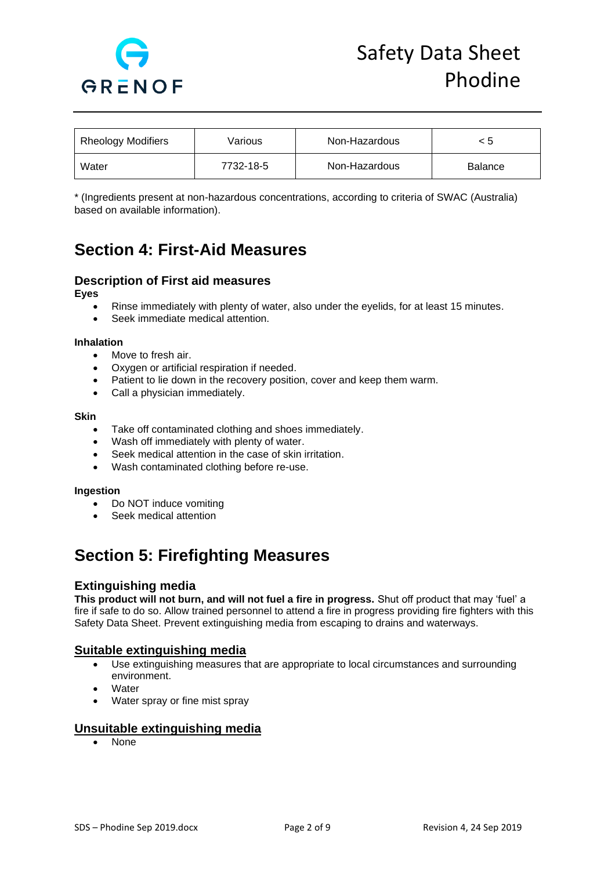

| <b>Rheology Modifiers</b> | Various   | Non-Hazardous | < 5            |
|---------------------------|-----------|---------------|----------------|
| Water                     | 7732-18-5 | Non-Hazardous | <b>Balance</b> |

\* (Ingredients present at non-hazardous concentrations, according to criteria of SWAC (Australia) based on available information).

# **Section 4: First-Aid Measures**

## **Description of First aid measures**

**Eyes** 

- Rinse immediately with plenty of water, also under the eyelids, for at least 15 minutes.
- Seek immediate medical attention.

#### **Inhalation**

- Move to fresh air.
- Oxygen or artificial respiration if needed.
- Patient to lie down in the recovery position, cover and keep them warm.
- Call a physician immediately.

#### **Skin**

- Take off contaminated clothing and shoes immediately.
- Wash off immediately with plenty of water.
- Seek medical attention in the case of skin irritation.
- Wash contaminated clothing before re-use.

#### **Ingestion**

- Do NOT induce vomiting
- Seek medical attention

## **Section 5: Firefighting Measures**

#### **Extinguishing media**

**This product will not burn, and will not fuel a fire in progress.** Shut off product that may 'fuel' a fire if safe to do so. Allow trained personnel to attend a fire in progress providing fire fighters with this Safety Data Sheet. Prevent extinguishing media from escaping to drains and waterways.

#### **Suitable extinguishing media**

- Use extinguishing measures that are appropriate to local circumstances and surrounding environment.
- **Water**
- Water spray or fine mist spray

## **Unsuitable extinguishing media**

• None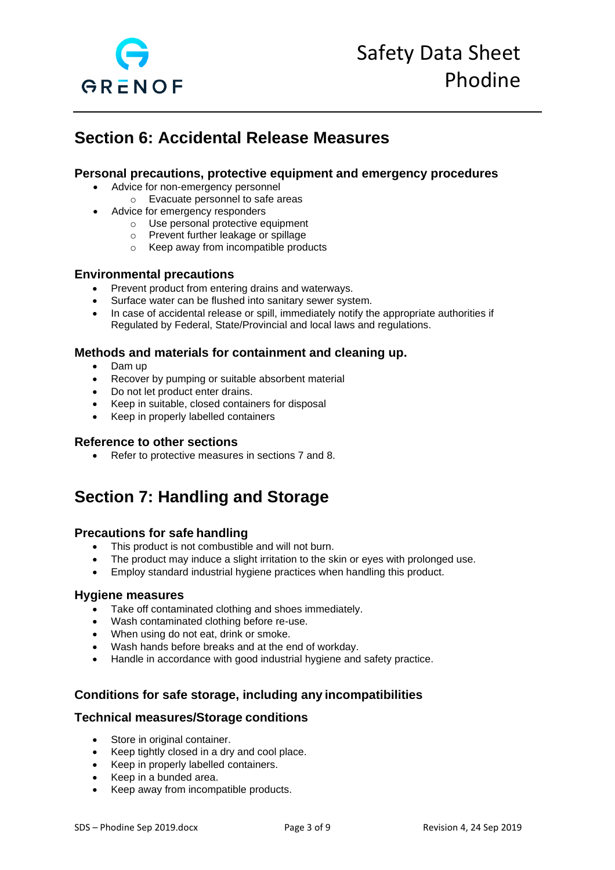

## **Section 6: Accidental Release Measures**

## **Personal precautions, protective equipment and emergency procedures**

- Advice for non-emergency personnel
	- o Evacuate personnel to safe areas
	- Advice for emergency responders
		- o Use personal protective equipment
		- o Prevent further leakage or spillage
		- o Keep away from incompatible products

#### **Environmental precautions**

- Prevent product from entering drains and waterways.
- Surface water can be flushed into sanitary sewer system.
- In case of accidental release or spill, immediately notify the appropriate authorities if Regulated by Federal, State/Provincial and local laws and regulations.

## **Methods and materials for containment and cleaning up.**

- Dam up
- Recover by pumping or suitable absorbent material
- Do not let product enter drains.
- Keep in suitable, closed containers for disposal
- Keep in properly labelled containers

#### **Reference to other sections**

• Refer to protective measures in sections 7 and 8.

## **Section 7: Handling and Storage**

## **Precautions for safe handling**

- This product is not combustible and will not burn.
- The product may induce a slight irritation to the skin or eyes with prolonged use.
- Employ standard industrial hygiene practices when handling this product.

#### **Hygiene measures**

- Take off contaminated clothing and shoes immediately.
- Wash contaminated clothing before re-use.
- When using do not eat, drink or smoke.
- Wash hands before breaks and at the end of workday.
- Handle in accordance with good industrial hygiene and safety practice.

## **Conditions for safe storage, including any incompatibilities**

#### **Technical measures/Storage conditions**

- Store in original container.
- Keep tightly closed in a dry and cool place.
- Keep in properly labelled containers.
- Keep in a bunded area.
- Keep away from incompatible products.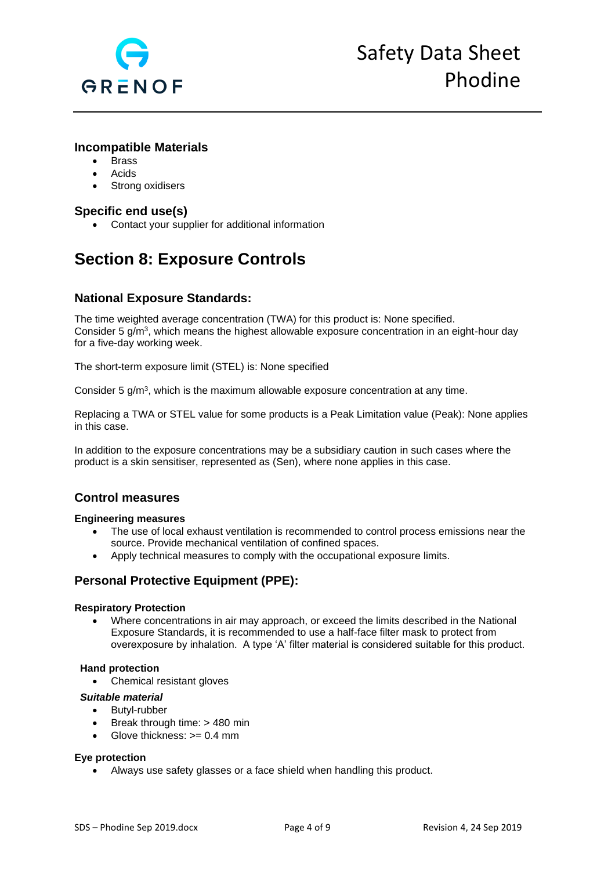

### **Incompatible Materials**

- Brass
- **Acids**
- Strong oxidisers

## **Specific end use(s)**

• Contact your supplier for additional information

# **Section 8: Exposure Controls**

## **National Exposure Standards:**

The time weighted average concentration (TWA) for this product is: None specified. Consider 5 g/m<sup>3</sup>, which means the highest allowable exposure concentration in an eight-hour day for a five-day working week.

The short-term exposure limit (STEL) is: None specified

Consider 5 g/m<sup>3</sup>, which is the maximum allowable exposure concentration at any time.

Replacing a TWA or STEL value for some products is a Peak Limitation value (Peak): None applies in this case.

In addition to the exposure concentrations may be a subsidiary caution in such cases where the product is a skin sensitiser, represented as (Sen), where none applies in this case.

## **Control measures**

#### **Engineering measures**

- The use of local exhaust ventilation is recommended to control process emissions near the source. Provide mechanical ventilation of confined spaces.
- Apply technical measures to comply with the occupational exposure limits.

## **Personal Protective Equipment (PPE):**

#### **Respiratory Protection**

• Where concentrations in air may approach, or exceed the limits described in the National Exposure Standards, it is recommended to use a half-face filter mask to protect from overexposure by inhalation. A type 'A' filter material is considered suitable for this product.

#### **Hand protection**

• Chemical resistant gloves

#### *Suitable material*

- Butyl-rubber
- Break through time: > 480 min
- Glove thickness: >= 0.4 mm

#### **Eye protection**

• Always use safety glasses or a face shield when handling this product.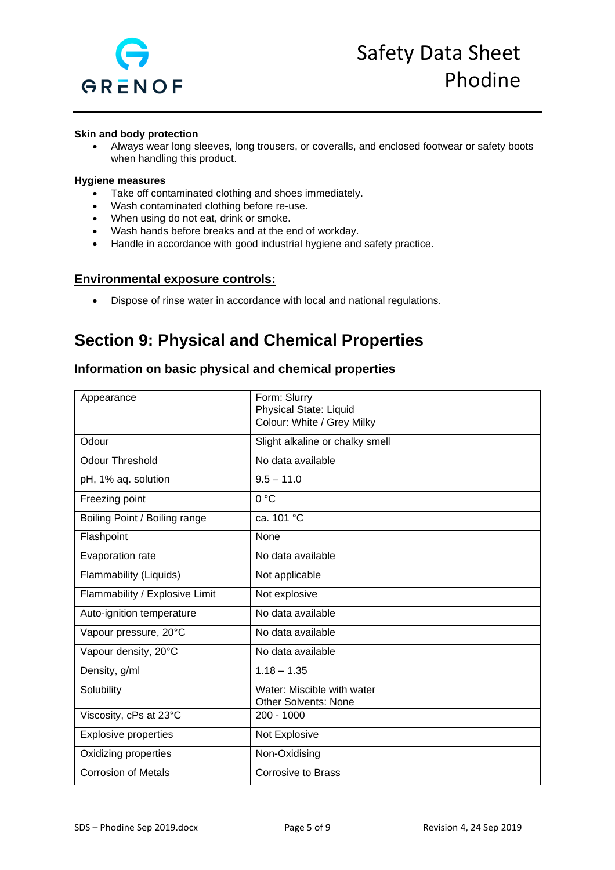

#### **Skin and body protection**

• Always wear long sleeves, long trousers, or coveralls, and enclosed footwear or safety boots when handling this product.

#### **Hygiene measures**

- Take off contaminated clothing and shoes immediately.
- Wash contaminated clothing before re-use.
- When using do not eat, drink or smoke.
- Wash hands before breaks and at the end of workday.
- Handle in accordance with good industrial hygiene and safety practice.

#### **Environmental exposure controls:**

• Dispose of rinse water in accordance with local and national regulations.

## **Section 9: Physical and Chemical Properties**

## **Information on basic physical and chemical properties**

| Appearance                     | Form: Slurry<br>Physical State: Liquid<br>Colour: White / Grey Milky |
|--------------------------------|----------------------------------------------------------------------|
| Odour                          | Slight alkaline or chalky smell                                      |
| <b>Odour Threshold</b>         | No data available                                                    |
| pH, 1% aq. solution            | $9.5 - 11.0$                                                         |
| Freezing point                 | 0 °C                                                                 |
| Boiling Point / Boiling range  | ca. 101 °C                                                           |
| Flashpoint                     | None                                                                 |
| Evaporation rate               | No data available                                                    |
| Flammability (Liquids)         | Not applicable                                                       |
| Flammability / Explosive Limit | Not explosive                                                        |
| Auto-ignition temperature      | No data available                                                    |
| Vapour pressure, 20°C          | No data available                                                    |
| Vapour density, 20°C           | No data available                                                    |
| Density, g/ml                  | $1.18 - 1.35$                                                        |
| Solubility                     | Water: Miscible with water<br><b>Other Solvents: None</b>            |
| Viscosity, cPs at 23°C         | $200 - 1000$                                                         |
| <b>Explosive properties</b>    | Not Explosive                                                        |
| Oxidizing properties           | Non-Oxidising                                                        |
| <b>Corrosion of Metals</b>     | Corrosive to Brass                                                   |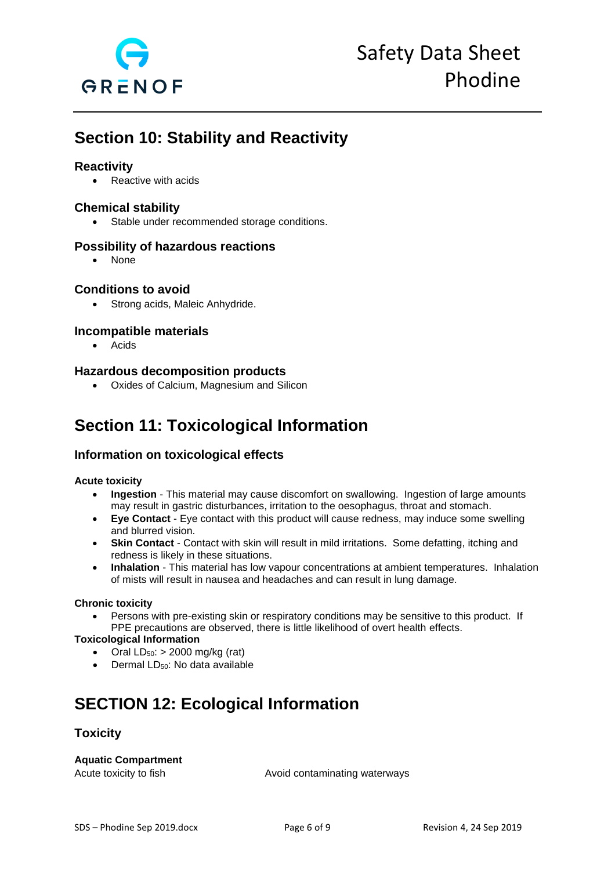

## **Section 10: Stability and Reactivity**

### **Reactivity**

• Reactive with acids

#### **Chemical stability**

• Stable under recommended storage conditions.

### **Possibility of hazardous reactions**

• None

#### **Conditions to avoid**

• Strong acids, Maleic Anhydride.

### **Incompatible materials**

• Acids

### **Hazardous decomposition products**

• Oxides of Calcium, Magnesium and Silicon

## **Section 11: Toxicological Information**

## **Information on toxicological effects**

#### **Acute toxicity**

- **Ingestion** This material may cause discomfort on swallowing. Ingestion of large amounts may result in gastric disturbances, irritation to the oesophagus, throat and stomach.
- **Eye Contact**  Eye contact with this product will cause redness, may induce some swelling and blurred vision.
- **Skin Contact** Contact with skin will result in mild irritations. Some defatting, itching and redness is likely in these situations.
- **Inhalation** This material has low vapour concentrations at ambient temperatures. Inhalation of mists will result in nausea and headaches and can result in lung damage.

#### **Chronic toxicity**

• Persons with pre-existing skin or respiratory conditions may be sensitive to this product. If PPE precautions are observed, there is little likelihood of overt health effects.

#### **Toxicological Information**

- Oral  $LD_{50}$ : > 2000 mg/kg (rat)
- Dermal LD<sub>50</sub>: No data available

# **SECTION 12: Ecological Information**

#### **Toxicity**

#### **Aquatic Compartment**

Acute toxicity to fish Avoid contaminating waterways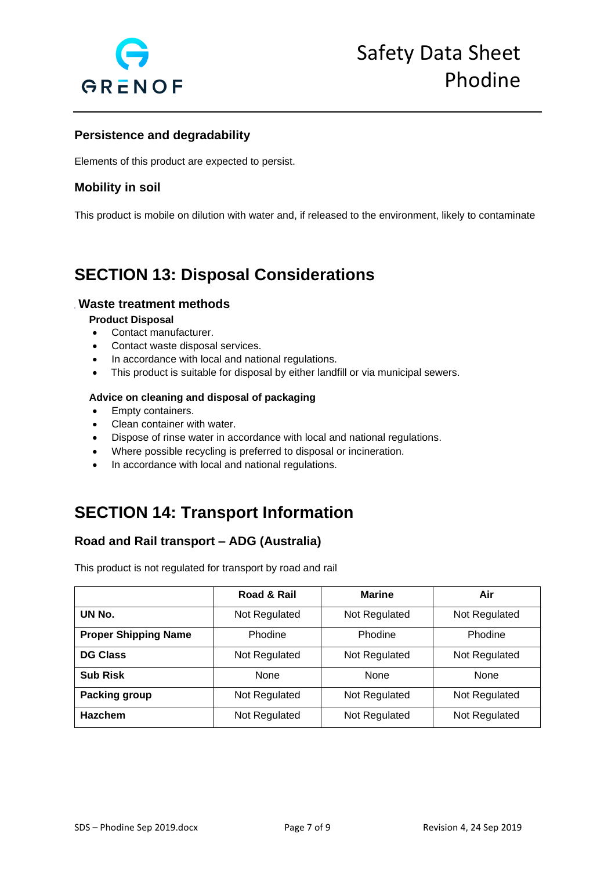

## **Persistence and degradability**

Elements of this product are expected to persist.

## **Mobility in soil**

This product is mobile on dilution with water and, if released to the environment, likely to contaminate

## **SECTION 13: Disposal Considerations**

### **Waste treatment methods**

#### **Product Disposal**

- Contact manufacturer.
- Contact waste disposal services.
- In accordance with local and national regulations.
- This product is suitable for disposal by either landfill or via municipal sewers.

#### **Advice on cleaning and disposal of packaging**

- Empty containers.
- Clean container with water.
- Dispose of rinse water in accordance with local and national regulations.
- Where possible recycling is preferred to disposal or incineration.
- In accordance with local and national regulations.

## **SECTION 14: Transport Information**

## **Road and Rail transport – ADG (Australia)**

This product is not regulated for transport by road and rail

|                             | Road & Rail   | <b>Marine</b> | Air           |
|-----------------------------|---------------|---------------|---------------|
| UN No.                      | Not Regulated | Not Regulated | Not Regulated |
| <b>Proper Shipping Name</b> | Phodine       | Phodine       | Phodine       |
| <b>DG Class</b>             | Not Regulated | Not Regulated | Not Regulated |
| <b>Sub Risk</b>             | <b>None</b>   | None          | None          |
| Packing group               | Not Regulated | Not Regulated | Not Regulated |
| <b>Hazchem</b>              | Not Regulated | Not Regulated | Not Regulated |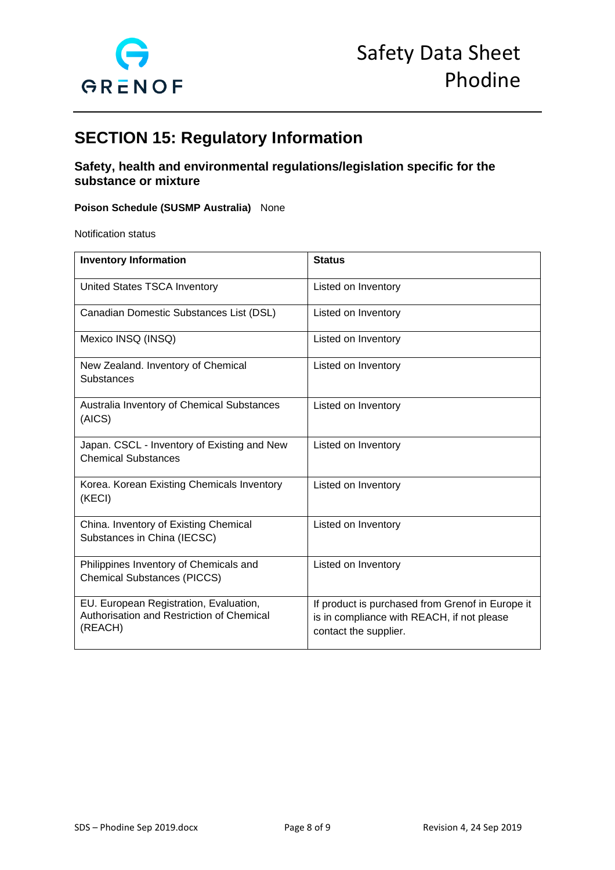

# **SECTION 15: Regulatory Information**

## **Safety, health and environmental regulations/legislation specific for the substance or mixture**

#### **Poison Schedule (SUSMP Australia)** None

Notification status

| <b>Inventory Information</b>                                                                   | <b>Status</b>                                                                                                           |
|------------------------------------------------------------------------------------------------|-------------------------------------------------------------------------------------------------------------------------|
| United States TSCA Inventory                                                                   | Listed on Inventory                                                                                                     |
| Canadian Domestic Substances List (DSL)                                                        | Listed on Inventory                                                                                                     |
| Mexico INSQ (INSQ)                                                                             | Listed on Inventory                                                                                                     |
| New Zealand. Inventory of Chemical<br>Substances                                               | Listed on Inventory                                                                                                     |
| Australia Inventory of Chemical Substances<br>(AICS)                                           | Listed on Inventory                                                                                                     |
| Japan. CSCL - Inventory of Existing and New<br><b>Chemical Substances</b>                      | Listed on Inventory                                                                                                     |
| Korea. Korean Existing Chemicals Inventory<br>(KECI)                                           | Listed on Inventory                                                                                                     |
| China. Inventory of Existing Chemical<br>Substances in China (IECSC)                           | Listed on Inventory                                                                                                     |
| Philippines Inventory of Chemicals and<br><b>Chemical Substances (PICCS)</b>                   | Listed on Inventory                                                                                                     |
| EU. European Registration, Evaluation,<br>Authorisation and Restriction of Chemical<br>(REACH) | If product is purchased from Grenof in Europe it<br>is in compliance with REACH, if not please<br>contact the supplier. |